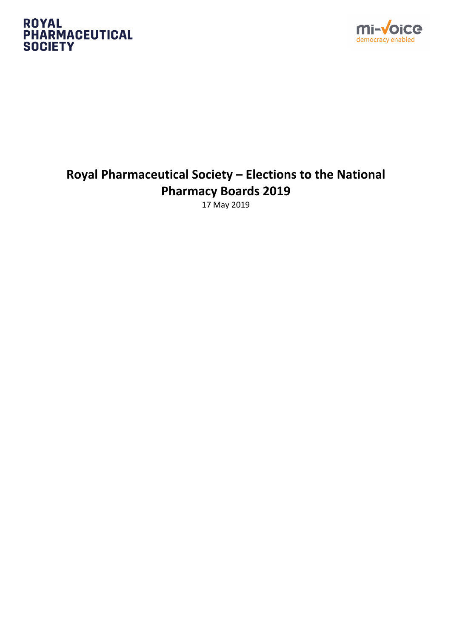### **ROYAL PHARMACEUTICAL SOCIETY**



# **Royal Pharmaceutical Society – Elections to the National Pharmacy Boards 2019**

17 May 2019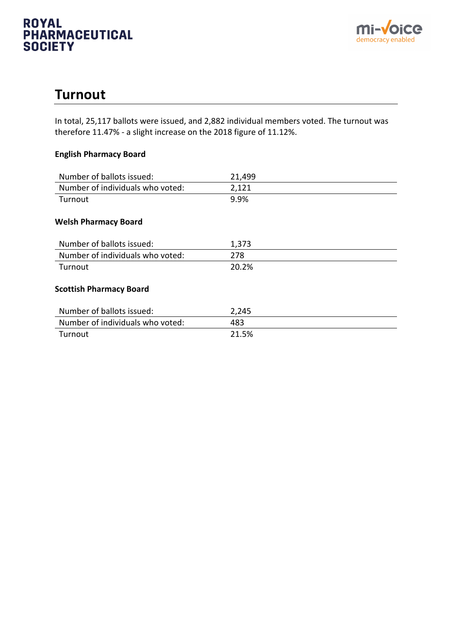## **ROYAL PHARMACEUTICAL SOCIETY**



## **Turnout**

In total, 25,117 ballots were issued, and 2,882 individual members voted. The turnout was therefore 11.47% - a slight increase on the 2018 figure of 11.12%.

#### **English Pharmacy Board**

| Number of ballots issued:        | 21,499 |
|----------------------------------|--------|
| Number of individuals who voted: | 2,121  |
| Turnout                          | 9.9%   |
| <b>Welsh Pharmacy Board</b>      |        |
| Number of ballots issued:        | 1,373  |
| Number of individuals who voted: | 278    |
| Turnout                          | 20.2%  |
| <b>Scottish Pharmacy Board</b>   |        |
| Number of ballots issued:        | 2,245  |
| Number of individuals who voted: | 483    |
| Turnout                          | 21.5%  |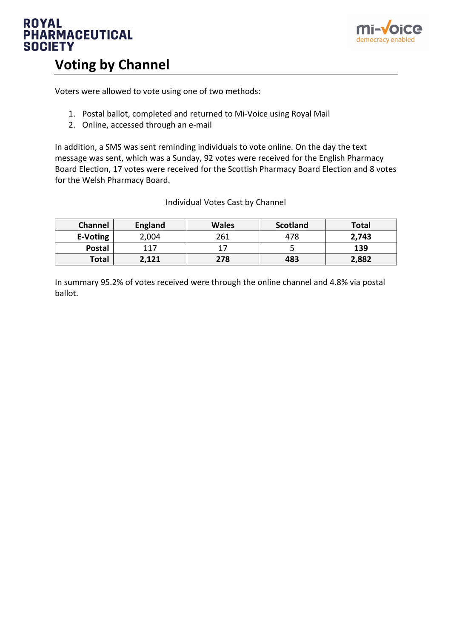



Voters were allowed to vote using one of two methods:

- 1. Postal ballot, completed and returned to Mi-Voice using Royal Mail
- 2. Online, accessed through an e-mail

In addition, a SMS was sent reminding individuals to vote online. On the day the text message was sent, which was a Sunday, 92 votes were received for the English Pharmacy Board Election, 17 votes were received for the Scottish Pharmacy Board Election and 8 votes for the Welsh Pharmacy Board.

| Channel      | England | <b>Wales</b> | <b>Scotland</b> | <b>Total</b> |
|--------------|---------|--------------|-----------------|--------------|
| E-Voting     | 2,004   | 261          | 478             | 2,743        |
| Postal       | 117     | 17           |                 | 139          |
| <b>Total</b> | 2,121   | 278          | 483             | 2,882        |

#### Individual Votes Cast by Channel

In summary 95.2% of votes received were through the online channel and 4.8% via postal ballot.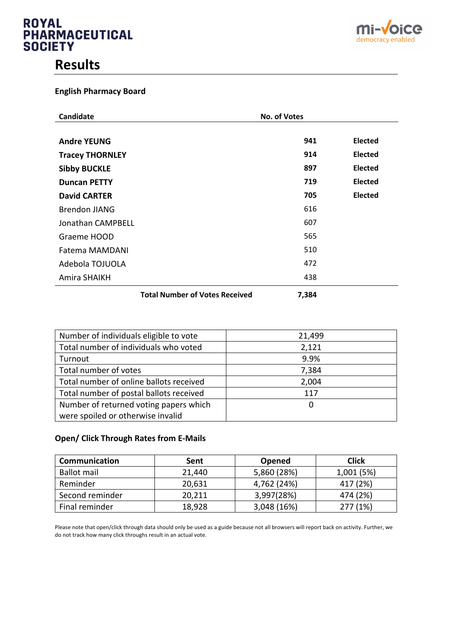## **ROYAL** PHARMACEUTICAL **SOCIETY**

# **Results**





| <b>Candidate</b>       | <b>No. of Votes</b> |                |
|------------------------|---------------------|----------------|
|                        |                     |                |
| <b>Andre YEUNG</b>     | 941                 | Elected        |
| <b>Tracey THORNLEY</b> | 914                 | <b>Elected</b> |
| <b>Sibby BUCKLE</b>    | 897                 | <b>Elected</b> |
| <b>Duncan PETTY</b>    | 719                 | <b>Elected</b> |
| <b>David CARTER</b>    | 705                 | <b>Elected</b> |
| <b>Brendon JIANG</b>   | 616                 |                |
| Jonathan CAMPBELL      | 607                 |                |
| Graeme HOOD            | 565                 |                |
| <b>Fatema MAMDANI</b>  | 510                 |                |
| Adebola TOJUOLA        | 472                 |                |
| Amira SHAIKH           | 438                 |                |
|                        |                     |                |

**Total Number of Votes Received 7,384**

| Number of individuals eligible to vote  | 21,499 |
|-----------------------------------------|--------|
| Total number of individuals who voted   | 2,121  |
| Turnout                                 | 9.9%   |
| Total number of votes                   | 7,384  |
| Total number of online ballots received | 2,004  |
| Total number of postal ballots received | 117    |
| Number of returned voting papers which  | 0      |
| were spoiled or otherwise invalid       |        |

#### **Open/ Click Through Rates from E-Mails**

| Communication      | Sent   | <b>Opened</b> | <b>Click</b> |
|--------------------|--------|---------------|--------------|
| <b>Ballot mail</b> | 21,440 | 5,860 (28%)   | 1,001 (5%)   |
| Reminder           | 20,631 | 4,762 (24%)   | 417 (2%)     |
| Second reminder    | 20,211 | 3,997(28%)    | 474 (2%)     |
| Final reminder     | 18,928 | 3,048 (16%)   | 277 (1%)     |

Please note that open/click through data should only be used as a guide because not all browsers will report back on activity. Further, we do not track how many click throughs result in an actual vote.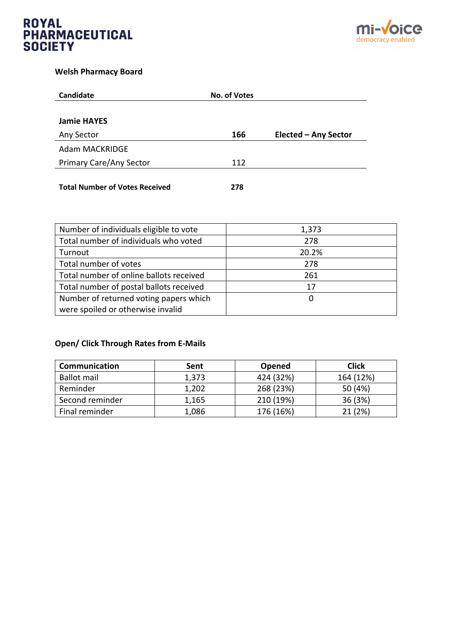



#### **Welsh Pharmacy Board**

| Candidate                             | No. of Votes |                             |
|---------------------------------------|--------------|-----------------------------|
|                                       |              |                             |
| <b>Jamie HAYES</b>                    |              |                             |
| Any Sector                            | 166          | <b>Elected - Any Sector</b> |
| <b>Adam MACKRIDGE</b>                 |              |                             |
| <b>Primary Care/Any Sector</b>        | 112          |                             |
|                                       |              |                             |
| <b>Total Number of Votes Received</b> | 278          |                             |

| Number of individuals eligible to vote  | 1,373 |
|-----------------------------------------|-------|
| Total number of individuals who voted   | 278   |
| Turnout                                 | 20.2% |
| Total number of votes                   | 278   |
| Total number of online ballots received | 261   |
| Total number of postal ballots received | 17    |
| Number of returned voting papers which  | 0     |
| were spoiled or otherwise invalid       |       |

#### **Open/ Click Through Rates from E-Mails**

| <b>Communication</b> | Sent  | <b>Opened</b> | <b>Click</b> |
|----------------------|-------|---------------|--------------|
| <b>Ballot mail</b>   | 1,373 | 424 (32%)     | 164 (12%)    |
| Reminder             | 1,202 | 268 (23%)     | 50 (4%)      |
| Second reminder      | 1,165 | 210 (19%)     | 36 (3%)      |
| Final reminder       | 1,086 | 176 (16%)     | 21 (2%)      |